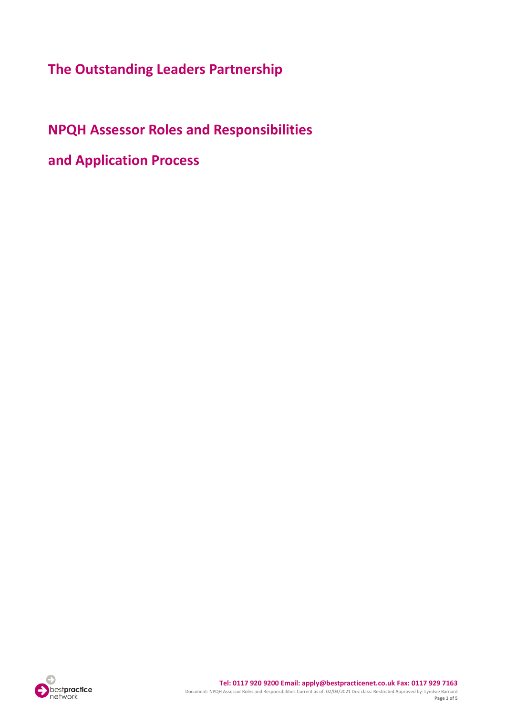**The Outstanding Leaders Partnership**

# **NPQH Assessor Roles and Responsibilities**

**and Application Process**

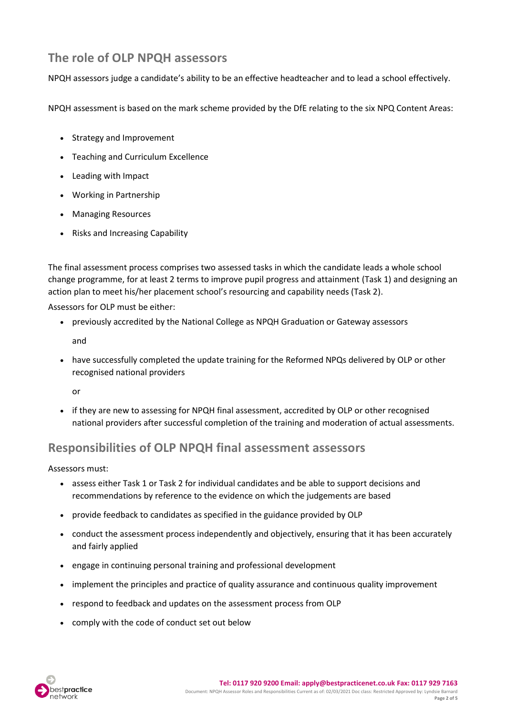# **The role of OLP NPQH assessors**

NPQH assessors judge a candidate's ability to be an effective headteacher and to lead a school effectively.

NPQH assessment is based on the mark scheme provided by the DfE relating to the six NPQ Content Areas:

- Strategy and Improvement
- Teaching and Curriculum Excellence
- Leading with Impact
- Working in Partnership
- Managing Resources
- Risks and Increasing Capability

The final assessment process comprises two assessed tasks in which the candidate leads a whole school change programme, for at least 2 terms to improve pupil progress and attainment (Task 1) and designing an action plan to meet his/her placement school's resourcing and capability needs (Task 2).

Assessors for OLP must be either:

• previously accredited by the National College as NPQH Graduation or Gateway assessors

and

• have successfully completed the update training for the Reformed NPQs delivered by OLP or other recognised national providers

or

• if they are new to assessing for NPQH final assessment, accredited by OLP or other recognised national providers after successful completion of the training and moderation of actual assessments.

# **Responsibilities of OLP NPQH final assessment assessors**

Assessors must:

- assess either Task 1 or Task 2 for individual candidates and be able to support decisions and recommendations by reference to the evidence on which the judgements are based
- provide feedback to candidates as specified in the guidance provided by OLP
- conduct the assessment process independently and objectively, ensuring that it has been accurately and fairly applied
- engage in continuing personal training and professional development
- implement the principles and practice of quality assurance and continuous quality improvement
- respond to feedback and updates on the assessment process from OLP
- comply with the code of conduct set out below

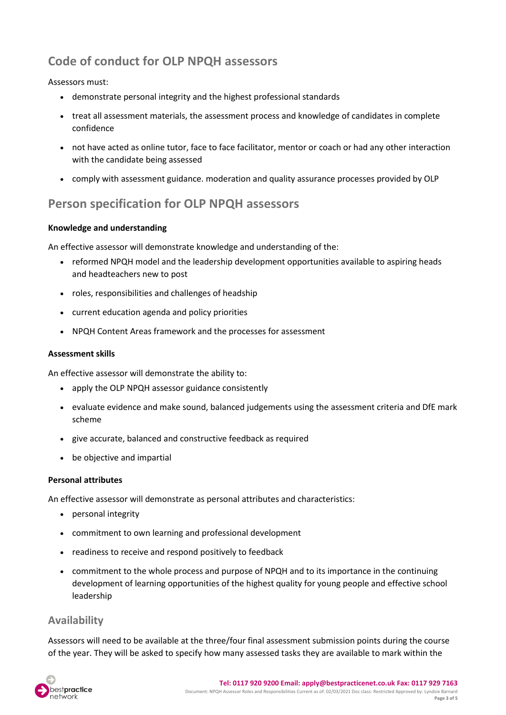# **Code of conduct for OLP NPQH assessors**

## Assessors must:

- demonstrate personal integrity and the highest professional standards
- treat all assessment materials, the assessment process and knowledge of candidates in complete confidence
- not have acted as online tutor, face to face facilitator, mentor or coach or had any other interaction with the candidate being assessed
- comply with assessment guidance. moderation and quality assurance processes provided by OLP

# **Person specification for OLP NPQH assessors**

## **Knowledge and understanding**

An effective assessor will demonstrate knowledge and understanding of the:

- reformed NPQH model and the leadership development opportunities available to aspiring heads and headteachers new to post
- roles, responsibilities and challenges of headship
- current education agenda and policy priorities
- NPQH Content Areas framework and the processes for assessment

#### **Assessment skills**

An effective assessor will demonstrate the ability to:

- apply the OLP NPQH assessor guidance consistently
- evaluate evidence and make sound, balanced judgements using the assessment criteria and DfE mark scheme
- give accurate, balanced and constructive feedback as required
- be objective and impartial

#### **Personal attributes**

An effective assessor will demonstrate as personal attributes and characteristics:

- personal integrity
- commitment to own learning and professional development
- readiness to receive and respond positively to feedback
- commitment to the whole process and purpose of NPQH and to its importance in the continuing development of learning opportunities of the highest quality for young people and effective school leadership

## **Availability**

Assessors will need to be available at the three/four final assessment submission points during the course of the year. They will be asked to specify how many assessed tasks they are available to mark within the

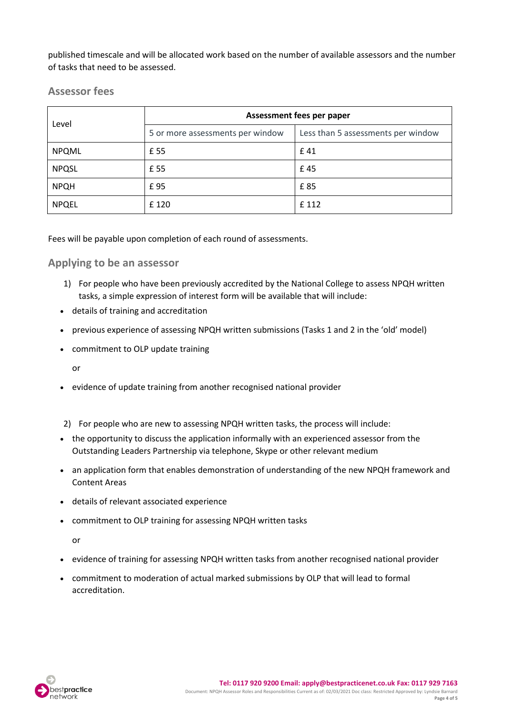published timescale and will be allocated work based on the number of available assessors and the number of tasks that need to be assessed.

## **Assessor fees**

| Level        | Assessment fees per paper        |                                    |
|--------------|----------------------------------|------------------------------------|
|              | 5 or more assessments per window | Less than 5 assessments per window |
| <b>NPQML</b> | £ 55                             | £41                                |
| <b>NPQSL</b> | £ 55                             | £45                                |
| <b>NPQH</b>  | £95                              | £85                                |
| <b>NPQEL</b> | £120                             | £ 112                              |

Fees will be payable upon completion of each round of assessments.

## **Applying to be an assessor**

- 1) For people who have been previously accredited by the National College to assess NPQH written tasks, a simple expression of interest form will be available that will include:
- details of training and accreditation
- previous experience of assessing NPQH written submissions (Tasks 1 and 2 in the 'old' model)
- commitment to OLP update training
	- or
- evidence of update training from another recognised national provider

2) For people who are new to assessing NPQH written tasks, the process will include:

- the opportunity to discuss the application informally with an experienced assessor from the Outstanding Leaders Partnership via telephone, Skype or other relevant medium
- an application form that enables demonstration of understanding of the new NPQH framework and Content Areas
- details of relevant associated experience
- commitment to OLP training for assessing NPQH written tasks

or

- evidence of training for assessing NPQH written tasks from another recognised national provider
- commitment to moderation of actual marked submissions by OLP that will lead to formal accreditation.